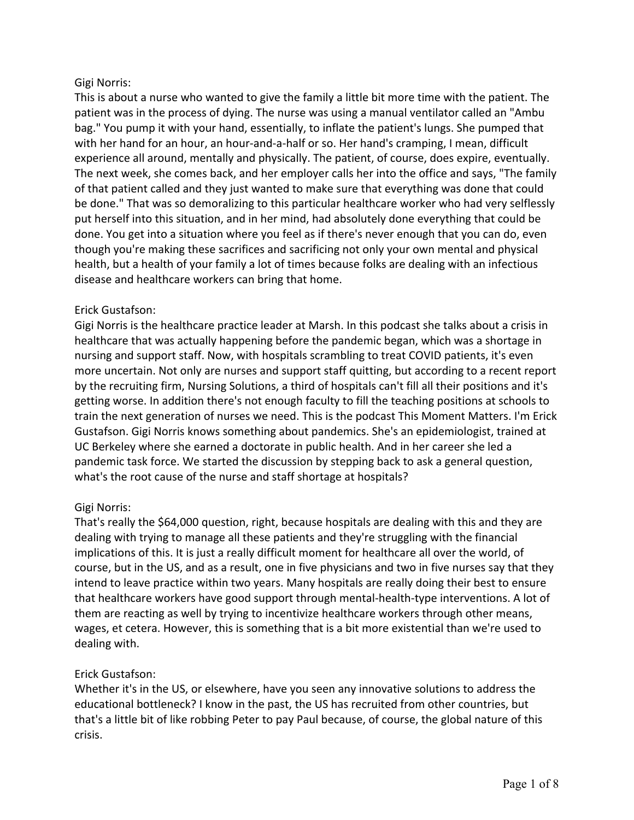This is about a nurse who wanted to give the family a little bit more time with the patient. The patient was in the process of dying. The nurse was using a manual ventilator called an "Ambu bag." You pump it with your hand, essentially, to inflate the patient's lungs. She pumped that with her hand for an hour, an hour-and-a-half or so. Her hand's cramping, I mean, difficult experience all around, mentally and physically. The patient, of course, does expire, eventually. The next week, she comes back, and her employer calls her into the office and says, "The family of that patient called and they just wanted to make sure that everything was done that could be done." That was so demoralizing to this particular healthcare worker who had very selflessly put herself into this situation, and in her mind, had absolutely done everything that could be done. You get into a situation where you feel as if there's never enough that you can do, even though you're making these sacrifices and sacrificing not only your own mental and physical health, but a health of your family a lot of times because folks are dealing with an infectious disease and healthcare workers can bring that home.

# Erick Gustafson:

Gigi Norris is the healthcare practice leader at Marsh. In this podcast she talks about a crisis in healthcare that was actually happening before the pandemic began, which was a shortage in nursing and support staff. Now, with hospitals scrambling to treat COVID patients, it's even more uncertain. Not only are nurses and support staff quitting, but according to a recent report by the recruiting firm, Nursing Solutions, a third of hospitals can't fill all their positions and it's getting worse. In addition there's not enough faculty to fill the teaching positions at schools to train the next generation of nurses we need. This is the podcast This Moment Matters. I'm Erick Gustafson. Gigi Norris knows something about pandemics. She's an epidemiologist, trained at UC Berkeley where she earned a doctorate in public health. And in her career she led a pandemic task force. We started the discussion by stepping back to ask a general question, what's the root cause of the nurse and staff shortage at hospitals?

## Gigi Norris:

That's really the \$64,000 question, right, because hospitals are dealing with this and they are dealing with trying to manage all these patients and they're struggling with the financial implications of this. It is just a really difficult moment for healthcare all over the world, of course, but in the US, and as a result, one in five physicians and two in five nurses say that they intend to leave practice within two years. Many hospitals are really doing their best to ensure that healthcare workers have good support through mental-health-type interventions. A lot of them are reacting as well by trying to incentivize healthcare workers through other means, wages, et cetera. However, this is something that is a bit more existential than we're used to dealing with.

## Erick Gustafson:

Whether it's in the US, or elsewhere, have you seen any innovative solutions to address the educational bottleneck? I know in the past, the US has recruited from other countries, but that's a little bit of like robbing Peter to pay Paul because, of course, the global nature of this crisis.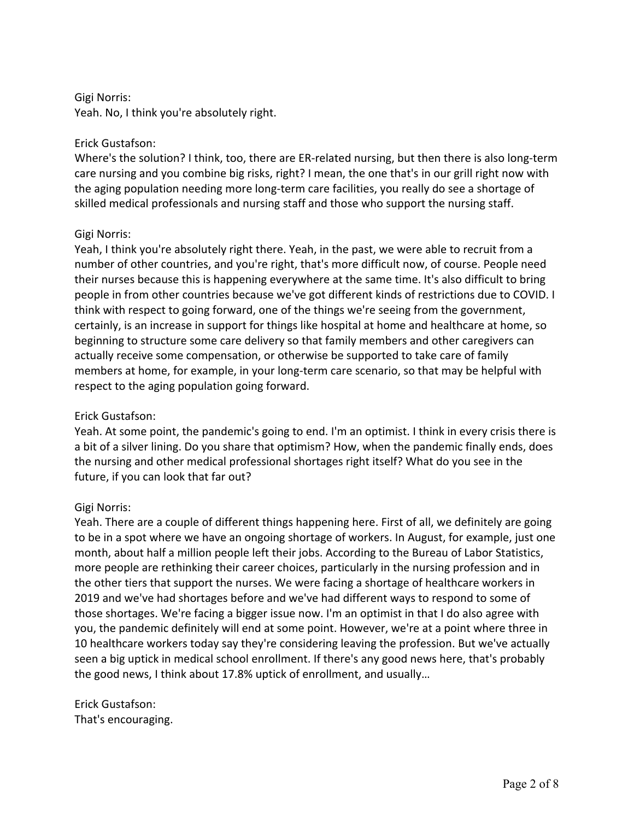Yeah. No, I think you're absolutely right.

## Erick Gustafson:

Where's the solution? I think, too, there are ER-related nursing, but then there is also long-term care nursing and you combine big risks, right? I mean, the one that's in our grill right now with the aging population needing more long-term care facilities, you really do see a shortage of skilled medical professionals and nursing staff and those who support the nursing staff.

### Gigi Norris:

Yeah, I think you're absolutely right there. Yeah, in the past, we were able to recruit from a number of other countries, and you're right, that's more difficult now, of course. People need their nurses because this is happening everywhere at the same time. It's also difficult to bring people in from other countries because we've got different kinds of restrictions due to COVID. I think with respect to going forward, one of the things we're seeing from the government, certainly, is an increase in support for things like hospital at home and healthcare at home, so beginning to structure some care delivery so that family members and other caregivers can actually receive some compensation, or otherwise be supported to take care of family members at home, for example, in your long-term care scenario, so that may be helpful with respect to the aging population going forward.

## Erick Gustafson:

Yeah. At some point, the pandemic's going to end. I'm an optimist. I think in every crisis there is a bit of a silver lining. Do you share that optimism? How, when the pandemic finally ends, does the nursing and other medical professional shortages right itself? What do you see in the future, if you can look that far out?

#### Gigi Norris:

Yeah. There are a couple of different things happening here. First of all, we definitely are going to be in a spot where we have an ongoing shortage of workers. In August, for example, just one month, about half a million people left their jobs. According to the Bureau of Labor Statistics, more people are rethinking their career choices, particularly in the nursing profession and in the other tiers that support the nurses. We were facing a shortage of healthcare workers in 2019 and we've had shortages before and we've had different ways to respond to some of those shortages. We're facing a bigger issue now. I'm an optimist in that I do also agree with you, the pandemic definitely will end at some point. However, we're at a point where three in 10 healthcare workers today say they're considering leaving the profession. But we've actually seen a big uptick in medical school enrollment. If there's any good news here, that's probably the good news, I think about 17.8% uptick of enrollment, and usually…

Erick Gustafson: That's encouraging.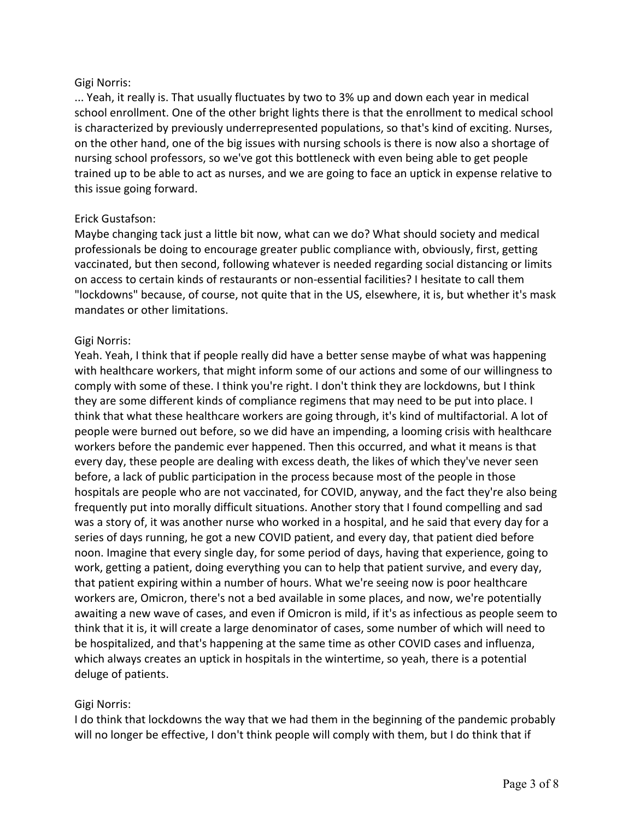... Yeah, it really is. That usually fluctuates by two to 3% up and down each year in medical school enrollment. One of the other bright lights there is that the enrollment to medical school is characterized by previously underrepresented populations, so that's kind of exciting. Nurses, on the other hand, one of the big issues with nursing schools is there is now also a shortage of nursing school professors, so we've got this bottleneck with even being able to get people trained up to be able to act as nurses, and we are going to face an uptick in expense relative to this issue going forward.

## Erick Gustafson:

Maybe changing tack just a little bit now, what can we do? What should society and medical professionals be doing to encourage greater public compliance with, obviously, first, getting vaccinated, but then second, following whatever is needed regarding social distancing or limits on access to certain kinds of restaurants or non-essential facilities? I hesitate to call them "lockdowns" because, of course, not quite that in the US, elsewhere, it is, but whether it's mask mandates or other limitations.

### Gigi Norris:

Yeah. Yeah, I think that if people really did have a better sense maybe of what was happening with healthcare workers, that might inform some of our actions and some of our willingness to comply with some of these. I think you're right. I don't think they are lockdowns, but I think they are some different kinds of compliance regimens that may need to be put into place. I think that what these healthcare workers are going through, it's kind of multifactorial. A lot of people were burned out before, so we did have an impending, a looming crisis with healthcare workers before the pandemic ever happened. Then this occurred, and what it means is that every day, these people are dealing with excess death, the likes of which they've never seen before, a lack of public participation in the process because most of the people in those hospitals are people who are not vaccinated, for COVID, anyway, and the fact they're also being frequently put into morally difficult situations. Another story that I found compelling and sad was a story of, it was another nurse who worked in a hospital, and he said that every day for a series of days running, he got a new COVID patient, and every day, that patient died before noon. Imagine that every single day, for some period of days, having that experience, going to work, getting a patient, doing everything you can to help that patient survive, and every day, that patient expiring within a number of hours. What we're seeing now is poor healthcare workers are, Omicron, there's not a bed available in some places, and now, we're potentially awaiting a new wave of cases, and even if Omicron is mild, if it's as infectious as people seem to think that it is, it will create a large denominator of cases, some number of which will need to be hospitalized, and that's happening at the same time as other COVID cases and influenza, which always creates an uptick in hospitals in the wintertime, so yeah, there is a potential deluge of patients.

## Gigi Norris:

I do think that lockdowns the way that we had them in the beginning of the pandemic probably will no longer be effective, I don't think people will comply with them, but I do think that if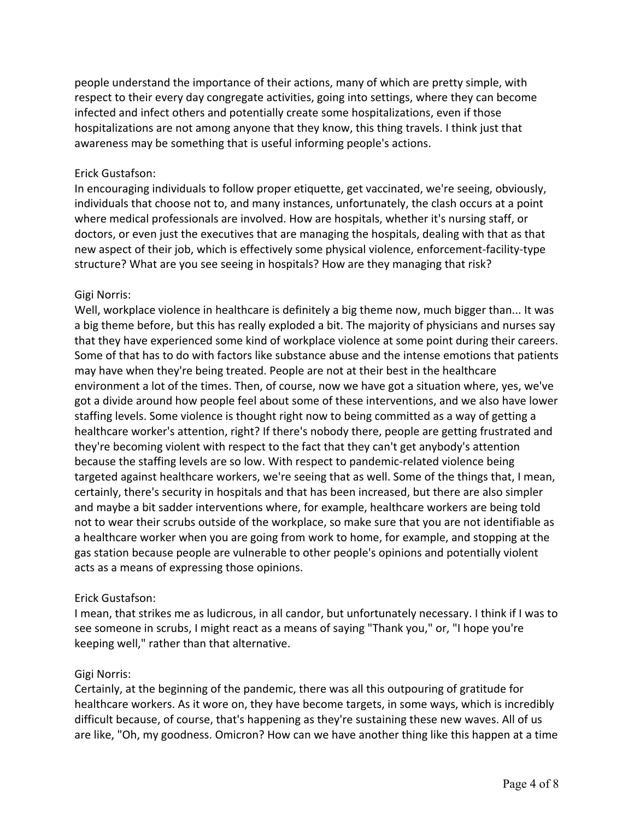people understand the importance of their actions, many of which are pretty simple, with respect to their every day congregate activities, going into settings, where they can become infected and infect others and potentially create some hospitalizations, even if those hospitalizations are not among anyone that they know, this thing travels. I think just that awareness may be something that is useful informing people's actions.

## Erick Gustafson:

In encouraging individuals to follow proper etiquette, get vaccinated, we're seeing, obviously, individuals that choose not to, and many instances, unfortunately, the clash occurs at a point where medical professionals are involved. How are hospitals, whether it's nursing staff, or doctors, or even just the executives that are managing the hospitals, dealing with that as that new aspect of their job, which is effectively some physical violence, enforcement-facility-type structure? What are you see seeing in hospitals? How are they managing that risk?

### Gigi Norris:

Well, workplace violence in healthcare is definitely a big theme now, much bigger than... It was a big theme before, but this has really exploded a bit. The majority of physicians and nurses say that they have experienced some kind of workplace violence at some point during their careers. Some of that has to do with factors like substance abuse and the intense emotions that patients may have when they're being treated. People are not at their best in the healthcare environment a lot of the times. Then, of course, now we have got a situation where, yes, we've got a divide around how people feel about some of these interventions, and we also have lower staffing levels. Some violence is thought right now to being committed as a way of getting a healthcare worker's attention, right? If there's nobody there, people are getting frustrated and they're becoming violent with respect to the fact that they can't get anybody's attention because the staffing levels are so low. With respect to pandemic-related violence being targeted against healthcare workers, we're seeing that as well. Some of the things that, I mean, certainly, there's security in hospitals and that has been increased, but there are also simpler and maybe a bit sadder interventions where, for example, healthcare workers are being told not to wear their scrubs outside of the workplace, so make sure that you are not identifiable as a healthcare worker when you are going from work to home, for example, and stopping at the gas station because people are vulnerable to other people's opinions and potentially violent acts as a means of expressing those opinions.

## Erick Gustafson:

I mean, that strikes me as ludicrous, in all candor, but unfortunately necessary. I think if I was to see someone in scrubs, I might react as a means of saying "Thank you," or, "I hope you're keeping well," rather than that alternative.

## Gigi Norris:

Certainly, at the beginning of the pandemic, there was all this outpouring of gratitude for healthcare workers. As it wore on, they have become targets, in some ways, which is incredibly difficult because, of course, that's happening as they're sustaining these new waves. All of us are like, "Oh, my goodness. Omicron? How can we have another thing like this happen at a time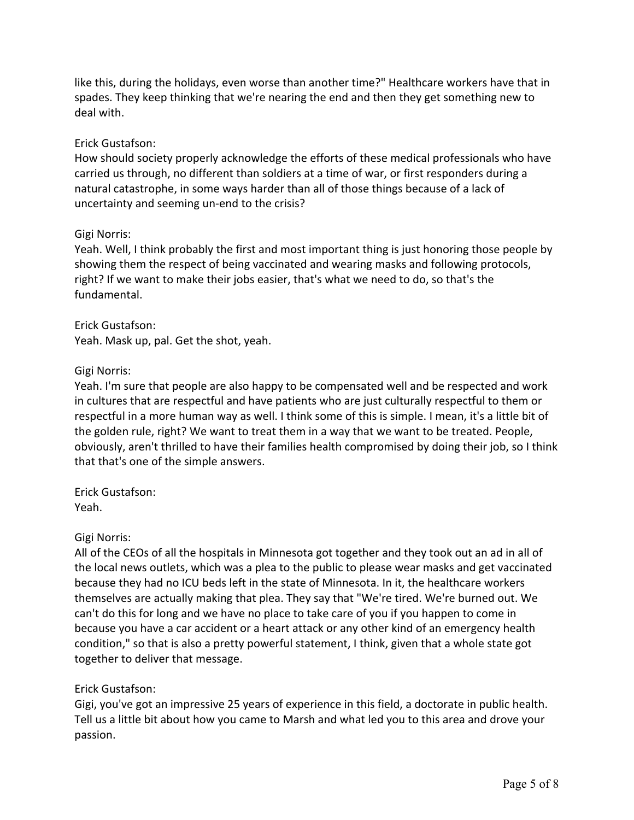like this, during the holidays, even worse than another time?" Healthcare workers have that in spades. They keep thinking that we're nearing the end and then they get something new to deal with.

# Erick Gustafson:

How should society properly acknowledge the efforts of these medical professionals who have carried us through, no different than soldiers at a time of war, or first responders during a natural catastrophe, in some ways harder than all of those things because of a lack of uncertainty and seeming un-end to the crisis?

## Gigi Norris:

Yeah. Well, I think probably the first and most important thing is just honoring those people by showing them the respect of being vaccinated and wearing masks and following protocols, right? If we want to make their jobs easier, that's what we need to do, so that's the fundamental.

Erick Gustafson: Yeah. Mask up, pal. Get the shot, yeah.

### Gigi Norris:

Yeah. I'm sure that people are also happy to be compensated well and be respected and work in cultures that are respectful and have patients who are just culturally respectful to them or respectful in a more human way as well. I think some of this is simple. I mean, it's a little bit of the golden rule, right? We want to treat them in a way that we want to be treated. People, obviously, aren't thrilled to have their families health compromised by doing their job, so I think that that's one of the simple answers.

Erick Gustafson: Yeah.

## Gigi Norris:

All of the CEOs of all the hospitals in Minnesota got together and they took out an ad in all of the local news outlets, which was a plea to the public to please wear masks and get vaccinated because they had no ICU beds left in the state of Minnesota. In it, the healthcare workers themselves are actually making that plea. They say that "We're tired. We're burned out. We can't do this for long and we have no place to take care of you if you happen to come in because you have a car accident or a heart attack or any other kind of an emergency health condition," so that is also a pretty powerful statement, I think, given that a whole state got together to deliver that message.

## Erick Gustafson:

Gigi, you've got an impressive 25 years of experience in this field, a doctorate in public health. Tell us a little bit about how you came to Marsh and what led you to this area and drove your passion.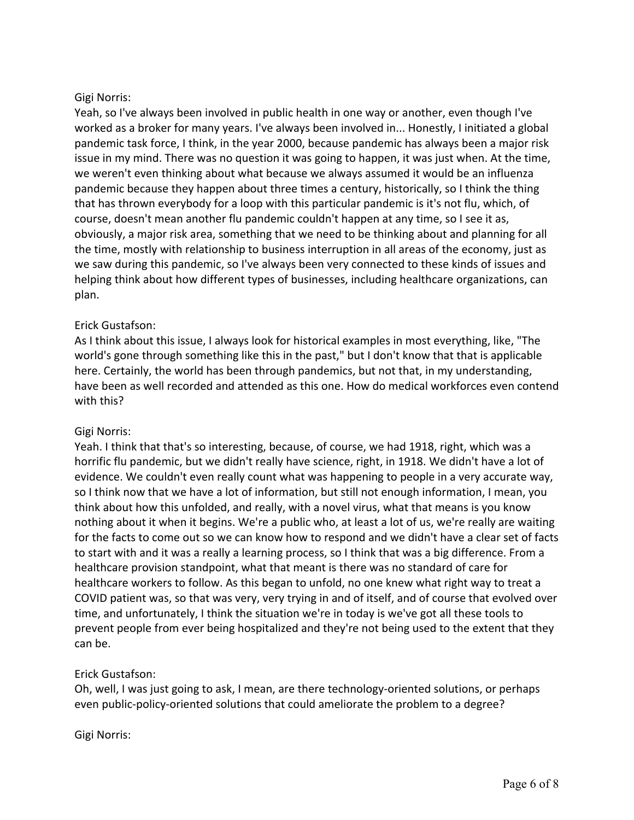Yeah, so I've always been involved in public health in one way or another, even though I've worked as a broker for many years. I've always been involved in... Honestly, I initiated a global pandemic task force, I think, in the year 2000, because pandemic has always been a major risk issue in my mind. There was no question it was going to happen, it was just when. At the time, we weren't even thinking about what because we always assumed it would be an influenza pandemic because they happen about three times a century, historically, so I think the thing that has thrown everybody for a loop with this particular pandemic is it's not flu, which, of course, doesn't mean another flu pandemic couldn't happen at any time, so I see it as, obviously, a major risk area, something that we need to be thinking about and planning for all the time, mostly with relationship to business interruption in all areas of the economy, just as we saw during this pandemic, so I've always been very connected to these kinds of issues and helping think about how different types of businesses, including healthcare organizations, can plan.

# Erick Gustafson:

As I think about this issue, I always look for historical examples in most everything, like, "The world's gone through something like this in the past," but I don't know that that is applicable here. Certainly, the world has been through pandemics, but not that, in my understanding, have been as well recorded and attended as this one. How do medical workforces even contend with this?

## Gigi Norris:

Yeah. I think that that's so interesting, because, of course, we had 1918, right, which was a horrific flu pandemic, but we didn't really have science, right, in 1918. We didn't have a lot of evidence. We couldn't even really count what was happening to people in a very accurate way, so I think now that we have a lot of information, but still not enough information, I mean, you think about how this unfolded, and really, with a novel virus, what that means is you know nothing about it when it begins. We're a public who, at least a lot of us, we're really are waiting for the facts to come out so we can know how to respond and we didn't have a clear set of facts to start with and it was a really a learning process, so I think that was a big difference. From a healthcare provision standpoint, what that meant is there was no standard of care for healthcare workers to follow. As this began to unfold, no one knew what right way to treat a COVID patient was, so that was very, very trying in and of itself, and of course that evolved over time, and unfortunately, I think the situation we're in today is we've got all these tools to prevent people from ever being hospitalized and they're not being used to the extent that they can be.

## Erick Gustafson:

Oh, well, I was just going to ask, I mean, are there technology-oriented solutions, or perhaps even public-policy-oriented solutions that could ameliorate the problem to a degree?

Gigi Norris: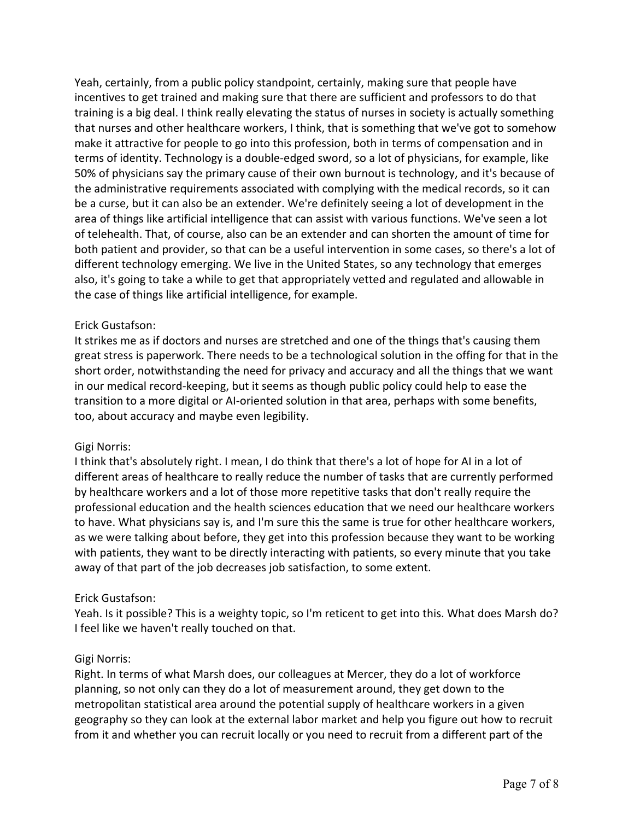Yeah, certainly, from a public policy standpoint, certainly, making sure that people have incentives to get trained and making sure that there are sufficient and professors to do that training is a big deal. I think really elevating the status of nurses in society is actually something that nurses and other healthcare workers, I think, that is something that we've got to somehow make it attractive for people to go into this profession, both in terms of compensation and in terms of identity. Technology is a double-edged sword, so a lot of physicians, for example, like 50% of physicians say the primary cause of their own burnout is technology, and it's because of the administrative requirements associated with complying with the medical records, so it can be a curse, but it can also be an extender. We're definitely seeing a lot of development in the area of things like artificial intelligence that can assist with various functions. We've seen a lot of telehealth. That, of course, also can be an extender and can shorten the amount of time for both patient and provider, so that can be a useful intervention in some cases, so there's a lot of different technology emerging. We live in the United States, so any technology that emerges also, it's going to take a while to get that appropriately vetted and regulated and allowable in the case of things like artificial intelligence, for example.

# Erick Gustafson:

It strikes me as if doctors and nurses are stretched and one of the things that's causing them great stress is paperwork. There needs to be a technological solution in the offing for that in the short order, notwithstanding the need for privacy and accuracy and all the things that we want in our medical record-keeping, but it seems as though public policy could help to ease the transition to a more digital or AI-oriented solution in that area, perhaps with some benefits, too, about accuracy and maybe even legibility.

## Gigi Norris:

I think that's absolutely right. I mean, I do think that there's a lot of hope for AI in a lot of different areas of healthcare to really reduce the number of tasks that are currently performed by healthcare workers and a lot of those more repetitive tasks that don't really require the professional education and the health sciences education that we need our healthcare workers to have. What physicians say is, and I'm sure this the same is true for other healthcare workers, as we were talking about before, they get into this profession because they want to be working with patients, they want to be directly interacting with patients, so every minute that you take away of that part of the job decreases job satisfaction, to some extent.

## Erick Gustafson:

Yeah. Is it possible? This is a weighty topic, so I'm reticent to get into this. What does Marsh do? I feel like we haven't really touched on that.

#### Gigi Norris:

Right. In terms of what Marsh does, our colleagues at Mercer, they do a lot of workforce planning, so not only can they do a lot of measurement around, they get down to the metropolitan statistical area around the potential supply of healthcare workers in a given geography so they can look at the external labor market and help you figure out how to recruit from it and whether you can recruit locally or you need to recruit from a different part of the